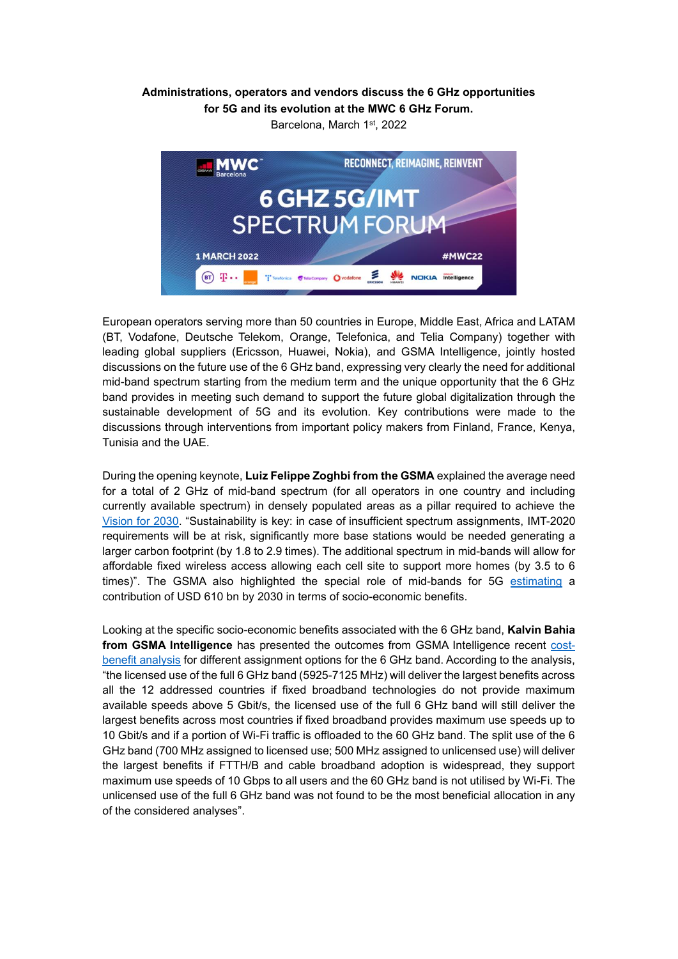## **Administrations, operators and vendors discuss the 6 GHz opportunities for 5G and its evolution at the MWC 6 GHz Forum.**

Barcelona, March 1<sup>st</sup>, 2022



European operators serving more than 50 countries in Europe, Middle East, Africa and LATAM (BT, Vodafone, Deutsche Telekom, Orange, Telefonica, and Telia Company) together with leading global suppliers (Ericsson, Huawei, Nokia), and GSMA Intelligence, jointly hosted discussions on the future use of the 6 GHz band, expressing very clearly the need for additional mid-band spectrum starting from the medium term and the unique opportunity that the 6 GHz band provides in meeting such demand to support the future global digitalization through the sustainable development of 5G and its evolution. Key contributions were made to the discussions through interventions from important policy makers from Finland, France, Kenya, Tunisia and the UAE.

During the opening keynote, **Luiz Felippe Zoghbi from the GSMA** explained the average need for a total of 2 GHz of mid-band spectrum (for all operators in one country and including currently available spectrum) in densely populated areas as a pillar required to achieve the [Vision for 2030.](https://www.gsma.com/spectrum/resources/5g-mid-band-spectrum-needs-vision-2030/) "Sustainability is key: in case of insufficient spectrum assignments, IMT-2020 requirements will be at risk, significantly more base stations would be needed generating a larger carbon footprint (by 1.8 to 2.9 times). The additional spectrum in mid-bands will allow for affordable fixed wireless access allowing each cell site to support more homes (by 3.5 to 6 times)". The GSMA also highlighted the special role of mid-bands for 5G [estimating](https://www.gsma.com/spectrum/resources/mid-band-5g-spectrum-benefits/) a contribution of USD 610 bn by 2030 in terms of socio-economic benefits.

Looking at the specific socio-economic benefits associated with the 6 GHz band, **Kalvin Bahia from GSMA Intelligence** has presented the outcomes from GSMA Intelligence recent [cost](https://data.gsmaintelligence.com/api-web/v2/research-file-download?id=69042233&file=310121-The-socioeconomic-benefits-of-the-6-GHz-band.pdf)[benefit analysis](https://data.gsmaintelligence.com/api-web/v2/research-file-download?id=69042233&file=310121-The-socioeconomic-benefits-of-the-6-GHz-band.pdf) for different assignment options for the 6 GHz band. According to the analysis, "the licensed use of the full 6 GHz band (5925-7125 MHz) will deliver the largest benefits across all the 12 addressed countries if fixed broadband technologies do not provide maximum available speeds above 5 Gbit/s, the licensed use of the full 6 GHz band will still deliver the largest benefits across most countries if fixed broadband provides maximum use speeds up to 10 Gbit/s and if a portion of Wi-Fi traffic is offloaded to the 60 GHz band. The split use of the 6 GHz band (700 MHz assigned to licensed use; 500 MHz assigned to unlicensed use) will deliver the largest benefits if FTTH/B and cable broadband adoption is widespread, they support maximum use speeds of 10 Gbps to all users and the 60 GHz band is not utilised by Wi-Fi. The unlicensed use of the full 6 GHz band was not found to be the most beneficial allocation in any of the considered analyses".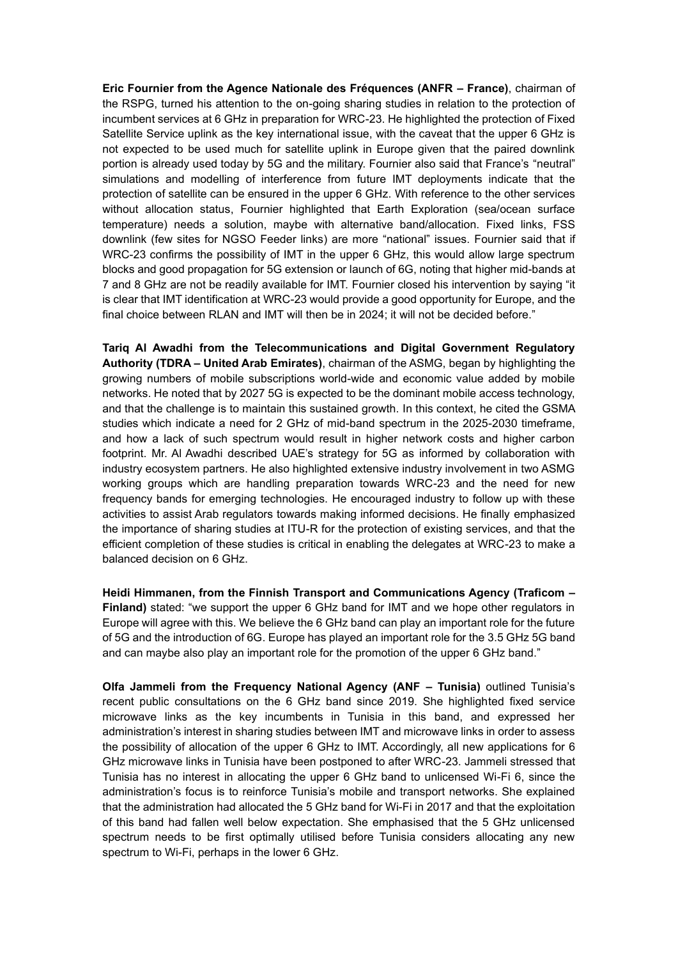**Eric Fournier from the Agence Nationale des Fréquences (ANFR – France)**, chairman of the RSPG, turned his attention to the on-going sharing studies in relation to the protection of incumbent services at 6 GHz in preparation for WRC-23. He highlighted the protection of Fixed Satellite Service uplink as the key international issue, with the caveat that the upper 6 GHz is not expected to be used much for satellite uplink in Europe given that the paired downlink portion is already used today by 5G and the military. Fournier also said that France's "neutral" simulations and modelling of interference from future IMT deployments indicate that the protection of satellite can be ensured in the upper 6 GHz. With reference to the other services without allocation status, Fournier highlighted that Earth Exploration (sea/ocean surface temperature) needs a solution, maybe with alternative band/allocation. Fixed links, FSS downlink (few sites for NGSO Feeder links) are more "national" issues. Fournier said that if WRC-23 confirms the possibility of IMT in the upper 6 GHz, this would allow large spectrum blocks and good propagation for 5G extension or launch of 6G, noting that higher mid-bands at 7 and 8 GHz are not be readily available for IMT. Fournier closed his intervention by saying "it is clear that IMT identification at WRC-23 would provide a good opportunity for Europe, and the final choice between RLAN and IMT will then be in 2024; it will not be decided before."

**Tariq Al Awadhi from the Telecommunications and Digital Government Regulatory Authority (TDRA – United Arab Emirates)**, chairman of the ASMG, began by highlighting the growing numbers of mobile subscriptions world-wide and economic value added by mobile networks. He noted that by 2027 5G is expected to be the dominant mobile access technology, and that the challenge is to maintain this sustained growth. In this context, he cited the GSMA studies which indicate a need for 2 GHz of mid-band spectrum in the 2025-2030 timeframe, and how a lack of such spectrum would result in higher network costs and higher carbon footprint. Mr. Al Awadhi described UAE's strategy for 5G as informed by collaboration with industry ecosystem partners. He also highlighted extensive industry involvement in two ASMG working groups which are handling preparation towards WRC-23 and the need for new frequency bands for emerging technologies. He encouraged industry to follow up with these activities to assist Arab regulators towards making informed decisions. He finally emphasized the importance of sharing studies at ITU-R for the protection of existing services, and that the efficient completion of these studies is critical in enabling the delegates at WRC-23 to make a balanced decision on 6 GHz.

**Heidi Himmanen, from the Finnish Transport and Communications Agency (Traficom – Finland)** stated: "we support the upper 6 GHz band for IMT and we hope other regulators in Europe will agree with this. We believe the 6 GHz band can play an important role for the future of 5G and the introduction of 6G. Europe has played an important role for the 3.5 GHz 5G band and can maybe also play an important role for the promotion of the upper 6 GHz band."

**Olfa Jammeli from the Frequency National Agency (ANF – Tunisia)** outlined Tunisia's recent public consultations on the 6 GHz band since 2019. She highlighted fixed service microwave links as the key incumbents in Tunisia in this band, and expressed her administration's interest in sharing studies between IMT and microwave links in order to assess the possibility of allocation of the upper 6 GHz to IMT. Accordingly, all new applications for 6 GHz microwave links in Tunisia have been postponed to after WRC-23. Jammeli stressed that Tunisia has no interest in allocating the upper 6 GHz band to unlicensed Wi-Fi 6, since the administration's focus is to reinforce Tunisia's mobile and transport networks. She explained that the administration had allocated the 5 GHz band for Wi-Fi in 2017 and that the exploitation of this band had fallen well below expectation. She emphasised that the 5 GHz unlicensed spectrum needs to be first optimally utilised before Tunisia considers allocating any new spectrum to Wi-Fi, perhaps in the lower 6 GHz.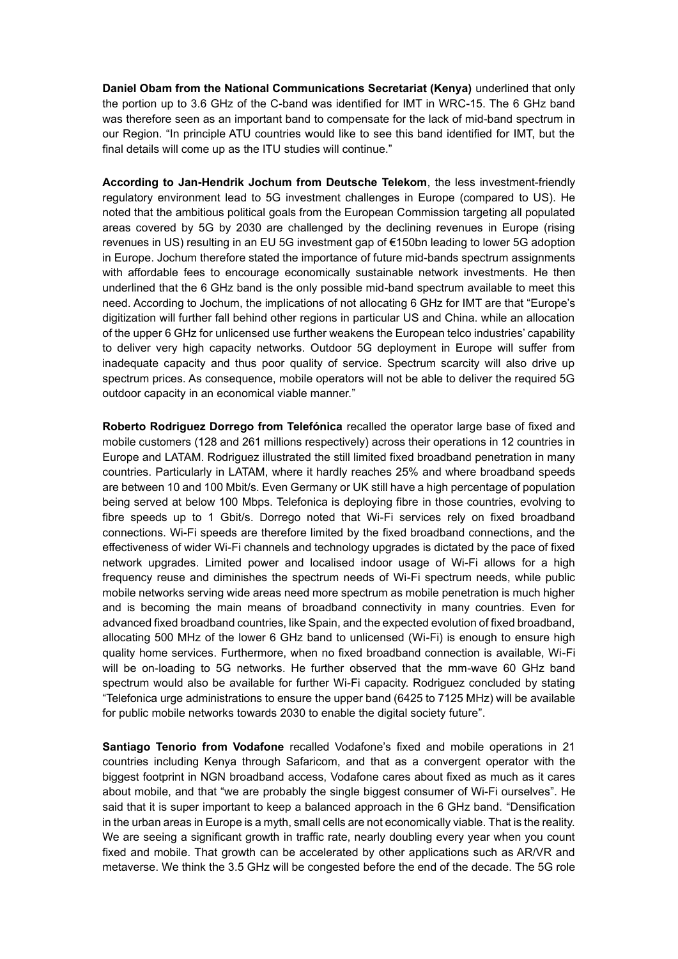**Daniel Obam from the National Communications Secretariat (Kenya)** underlined that only the portion up to 3.6 GHz of the C-band was identified for IMT in WRC-15. The 6 GHz band was therefore seen as an important band to compensate for the lack of mid-band spectrum in our Region. "In principle ATU countries would like to see this band identified for IMT, but the final details will come up as the ITU studies will continue."

**According to Jan-Hendrik Jochum from Deutsche Telekom**, the less investment-friendly regulatory environment lead to 5G investment challenges in Europe (compared to US). He noted that the ambitious political goals from the European Commission targeting all populated areas covered by 5G by 2030 are challenged by the declining revenues in Europe (rising revenues in US) resulting in an EU 5G investment gap of €150bn leading to lower 5G adoption in Europe. Jochum therefore stated the importance of future mid-bands spectrum assignments with affordable fees to encourage economically sustainable network investments. He then underlined that the 6 GHz band is the only possible mid-band spectrum available to meet this need. According to Jochum, the implications of not allocating 6 GHz for IMT are that "Europe's digitization will further fall behind other regions in particular US and China. while an allocation of the upper 6 GHz for unlicensed use further weakens the European telco industries' capability to deliver very high capacity networks. Outdoor 5G deployment in Europe will suffer from inadequate capacity and thus poor quality of service. Spectrum scarcity will also drive up spectrum prices. As consequence, mobile operators will not be able to deliver the required 5G outdoor capacity in an economical viable manner."

**Roberto Rodriguez Dorrego from Telefónica** recalled the operator large base of fixed and mobile customers (128 and 261 millions respectively) across their operations in 12 countries in Europe and LATAM. Rodriguez illustrated the still limited fixed broadband penetration in many countries. Particularly in LATAM, where it hardly reaches 25% and where broadband speeds are between 10 and 100 Mbit/s. Even Germany or UK still have a high percentage of population being served at below 100 Mbps. Telefonica is deploying fibre in those countries, evolving to fibre speeds up to 1 Gbit/s. Dorrego noted that Wi-Fi services rely on fixed broadband connections. Wi-Fi speeds are therefore limited by the fixed broadband connections, and the effectiveness of wider Wi-Fi channels and technology upgrades is dictated by the pace of fixed network upgrades. Limited power and localised indoor usage of Wi-Fi allows for a high frequency reuse and diminishes the spectrum needs of Wi-Fi spectrum needs, while public mobile networks serving wide areas need more spectrum as mobile penetration is much higher and is becoming the main means of broadband connectivity in many countries. Even for advanced fixed broadband countries, like Spain, and the expected evolution of fixed broadband, allocating 500 MHz of the lower 6 GHz band to unlicensed (Wi-Fi) is enough to ensure high quality home services. Furthermore, when no fixed broadband connection is available, Wi-Fi will be on-loading to 5G networks. He further observed that the mm-wave 60 GHz band spectrum would also be available for further Wi-Fi capacity. Rodriguez concluded by stating "Telefonica urge administrations to ensure the upper band (6425 to 7125 MHz) will be available for public mobile networks towards 2030 to enable the digital society future".

**Santiago Tenorio from Vodafone** recalled Vodafone's fixed and mobile operations in 21 countries including Kenya through Safaricom, and that as a convergent operator with the biggest footprint in NGN broadband access, Vodafone cares about fixed as much as it cares about mobile, and that "we are probably the single biggest consumer of Wi-Fi ourselves". He said that it is super important to keep a balanced approach in the 6 GHz band. "Densification in the urban areas in Europe is a myth, small cells are not economically viable. That is the reality. We are seeing a significant growth in traffic rate, nearly doubling every year when you count fixed and mobile. That growth can be accelerated by other applications such as AR/VR and metaverse. We think the 3.5 GHz will be congested before the end of the decade. The 5G role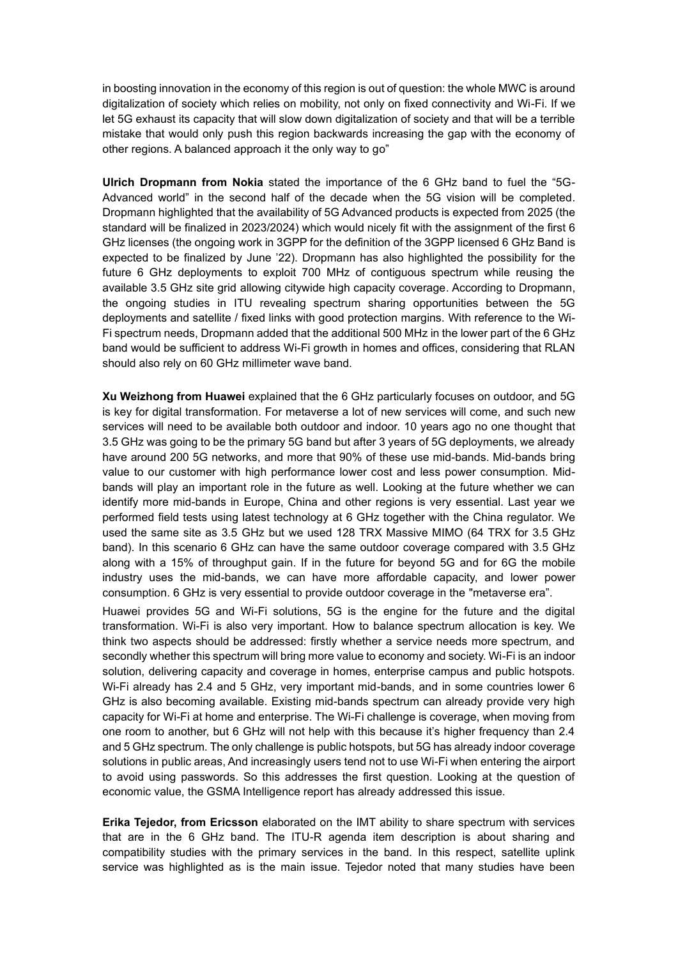in boosting innovation in the economy of this region is out of question: the whole MWC is around digitalization of society which relies on mobility, not only on fixed connectivity and Wi-Fi. If we let 5G exhaust its capacity that will slow down digitalization of society and that will be a terrible mistake that would only push this region backwards increasing the gap with the economy of other regions. A balanced approach it the only way to go"

**Ulrich Dropmann from Nokia** stated the importance of the 6 GHz band to fuel the "5G-Advanced world" in the second half of the decade when the 5G vision will be completed. Dropmann highlighted that the availability of 5G Advanced products is expected from 2025 (the standard will be finalized in 2023/2024) which would nicely fit with the assignment of the first 6 GHz licenses (the ongoing work in 3GPP for the definition of the 3GPP licensed 6 GHz Band is expected to be finalized by June '22). Dropmann has also highlighted the possibility for the future 6 GHz deployments to exploit 700 MHz of contiguous spectrum while reusing the available 3.5 GHz site grid allowing citywide high capacity coverage. According to Dropmann, the ongoing studies in ITU revealing spectrum sharing opportunities between the 5G deployments and satellite / fixed links with good protection margins. With reference to the Wi-Fi spectrum needs, Dropmann added that the additional 500 MHz in the lower part of the 6 GHz band would be sufficient to address Wi-Fi growth in homes and offices, considering that RLAN should also rely on 60 GHz millimeter wave band.

**Xu Weizhong from Huawei** explained that the 6 GHz particularly focuses on outdoor, and 5G is key for digital transformation. For metaverse a lot of new services will come, and such new services will need to be available both outdoor and indoor. 10 years ago no one thought that 3.5 GHz was going to be the primary 5G band but after 3 years of 5G deployments, we already have around 200 5G networks, and more that 90% of these use mid-bands. Mid-bands bring value to our customer with high performance lower cost and less power consumption. Midbands will play an important role in the future as well. Looking at the future whether we can identify more mid-bands in Europe, China and other regions is very essential. Last year we performed field tests using latest technology at 6 GHz together with the China regulator. We used the same site as 3.5 GHz but we used 128 TRX Massive MIMO (64 TRX for 3.5 GHz band). In this scenario 6 GHz can have the same outdoor coverage compared with 3.5 GHz along with a 15% of throughput gain. If in the future for beyond 5G and for 6G the mobile industry uses the mid-bands, we can have more affordable capacity, and lower power consumption. 6 GHz is very essential to provide outdoor coverage in the "metaverse era".

Huawei provides 5G and Wi-Fi solutions, 5G is the engine for the future and the digital transformation. Wi-Fi is also very important. How to balance spectrum allocation is key. We think two aspects should be addressed: firstly whether a service needs more spectrum, and secondly whether this spectrum will bring more value to economy and society. Wi-Fi is an indoor solution, delivering capacity and coverage in homes, enterprise campus and public hotspots. Wi-Fi already has 2.4 and 5 GHz, very important mid-bands, and in some countries lower 6 GHz is also becoming available. Existing mid-bands spectrum can already provide very high capacity for Wi-Fi at home and enterprise. The Wi-Fi challenge is coverage, when moving from one room to another, but 6 GHz will not help with this because it's higher frequency than 2.4 and 5 GHz spectrum. The only challenge is public hotspots, but 5G has already indoor coverage solutions in public areas, And increasingly users tend not to use Wi-Fi when entering the airport to avoid using passwords. So this addresses the first question. Looking at the question of economic value, the GSMA Intelligence report has already addressed this issue.

**Erika Tejedor, from Ericsson** elaborated on the IMT ability to share spectrum with services that are in the 6 GHz band. The ITU-R agenda item description is about sharing and compatibility studies with the primary services in the band. In this respect, satellite uplink service was highlighted as is the main issue. Tejedor noted that many studies have been